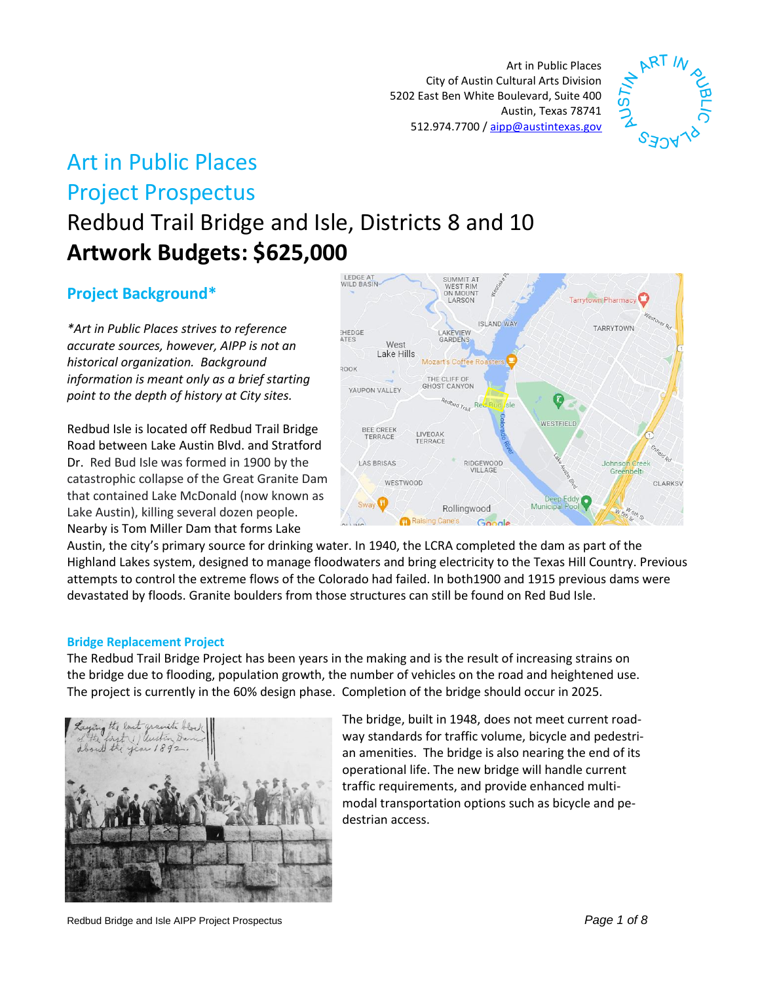Art in Public Places City of Austin Cultural Arts Division 5202 East Ben White Boulevard, Suite 400 Austin, Texas 78741 512.974.7700 / [aipp@austintexas.gov](mailto:aipp@austintexas.gov)



# Art in Public Places Project Prospectus

Redbud Trail Bridge and Isle, Districts 8 and 10 **Artwork Budgets: \$625,000**

# **Project Background\***

*\*Art in Public Places strives to reference accurate sources, however, AIPP is not an historical organization. Background information is meant only as a brief starting point to the depth of history at City sites.* 

Redbud Isle is located off Redbud Trail Bridge Road between Lake Austin Blvd. and Stratford Dr. Red Bud Isle was formed in 1900 by the catastrophic collapse of the Great Granite Dam that contained Lake McDonald (now known as Lake Austin), killing several dozen people. Nearby is Tom Miller Dam that forms Lake



Austin, the city's primary source for drinking water. In 1940, the LCRA completed the dam as part of the Highland Lakes system, designed to manage floodwaters and bring electricity to the Texas Hill Country. Previous attempts to control the extreme flows of the Colorado had failed. In both1900 and 1915 previous dams were devastated by floods. Granite boulders from those structures can still be found on Red Bud Isle.

#### **Bridge Replacement Project**

The Redbud Trail Bridge Project has been years in the making and is the result of increasing strains on the bridge due to flooding, population growth, the number of vehicles on the road and heightened use. The project is currently in the 60% design phase. Completion of the bridge should occur in 2025.



The bridge, built in 1948, does not meet current roadway standards for traffic volume, bicycle and pedestrian amenities. The bridge is also nearing the end of its operational life. The new bridge will handle current traffic requirements, and provide enhanced multimodal transportation options such as bicycle and pedestrian access.

Redbud Bridge and Isle AIPP Project Prospectus *Page 1 of 8*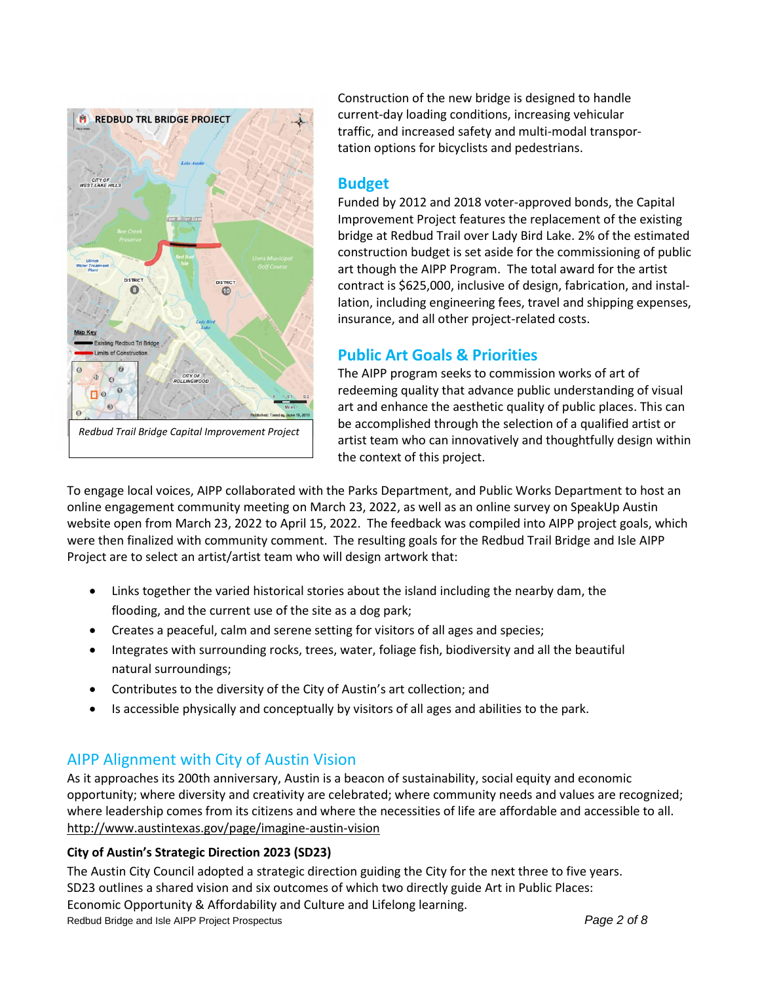

Construction of the new bridge is designed to handle current-day loading conditions, increasing vehicular traffic, and increased safety and multi-modal transportation options for bicyclists and pedestrians.

# **Budget**

Funded by 2012 and 2018 voter-approved bonds, the Capital Improvement Project features the replacement of the existing bridge at Redbud Trail over Lady Bird Lake. 2% of the estimated construction budget is set aside for the commissioning of public art though the AIPP Program. The total award for the artist contract is \$625,000, inclusive of design, fabrication, and installation, including engineering fees, travel and shipping expenses, insurance, and all other project-related costs.

# **Public Art Goals & Priorities**

The AIPP program seeks to commission works of art of redeeming quality that advance public understanding of visual art and enhance the aesthetic quality of public places. This can be accomplished through the selection of a qualified artist or artist team who can innovatively and thoughtfully design within the context of this project.

To engage local voices, AIPP collaborated with the Parks Department, and Public Works Department to host an online engagement community meeting on March 23, 2022, as well as an online survey on SpeakUp Austin website open from March 23, 2022 to April 15, 2022. The feedback was compiled into AIPP project goals, which were then finalized with community comment. The resulting goals for the Redbud Trail Bridge and Isle AIPP Project are to select an artist/artist team who will design artwork that:

- Links together the varied historical stories about the island including the nearby dam, the flooding, and the current use of the site as a dog park;
- Creates a peaceful, calm and serene setting for visitors of all ages and species;
- Integrates with surrounding rocks, trees, water, foliage fish, biodiversity and all the beautiful natural surroundings;
- Contributes to the diversity of the City of Austin's art collection; and
- Is accessible physically and conceptually by visitors of all ages and abilities to the park.

# AIPP Alignment with City of Austin Vision

As it approaches its 200th anniversary, Austin is a beacon of sustainability, social equity and economic opportunity; where diversity and creativity are celebrated; where community needs and values are recognized; where leadership comes from its citizens and where the necessities of life are affordable and accessible to all. <http://www.austintexas.gov/page/imagine-austin-vision>

## **City of Austin's Strategic Direction 2023 (SD23)**

Redbud Bridge and Isle AIPP Project Prospectus *Page 2 of 8* The Austin City Council adopted a strategic direction guiding the City for the next three to five years. SD23 outlines a shared vision and six outcomes of which two directly guide Art in Public Places: Economic Opportunity & Affordability and Culture and Lifelong learning.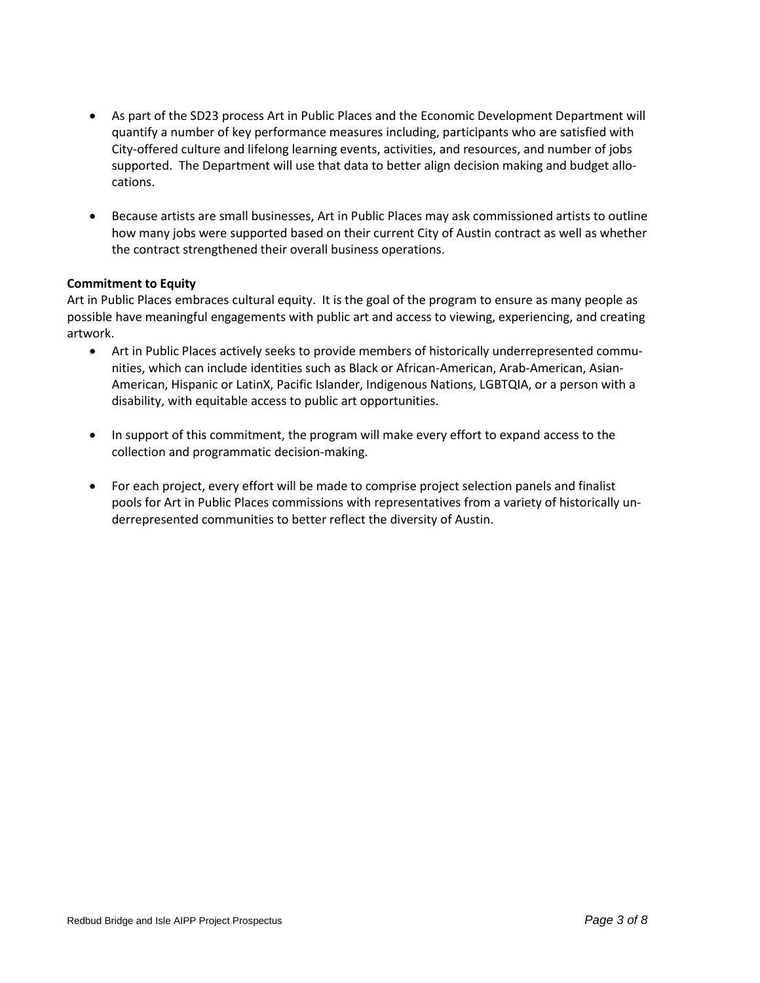- As part of the SD23 process Art in Public Places and the Economic Development Department will quantify a number of key performance measures including, participants who are satisfied with City-offered culture and lifelong learning events, activities, and resources, and number of jobs supported. The Department will use that data to better align decision making and budget allocations.
- Because artists are small businesses, Art in Public Places may ask commissioned artists to outline how many jobs were supported based on their current City of Austin contract as well as whether the contract strengthened their overall business operations.

#### **Commitment to Equity**

Art in Public Places embraces cultural equity. It is the goal of the program to ensure as many people as possible have meaningful engagements with public art and access to viewing, experiencing, and creating artwork.

- Art in Public Places actively seeks to provide members of historically underrepresented communities, which can include identities such as Black or African-American, Arab-American, Asian-American, Hispanic or LatinX, Pacific Islander, Indigenous Nations, LGBTQIA, or a person with a disability, with equitable access to public art opportunities.
- In support of this commitment, the program will make every effort to expand access to the collection and programmatic decision-making.
- For each project, every effort will be made to comprise project selection panels and finalist pools for Art in Public Places commissions with representatives from a variety of historically underrepresented communities to better reflect the diversity of Austin.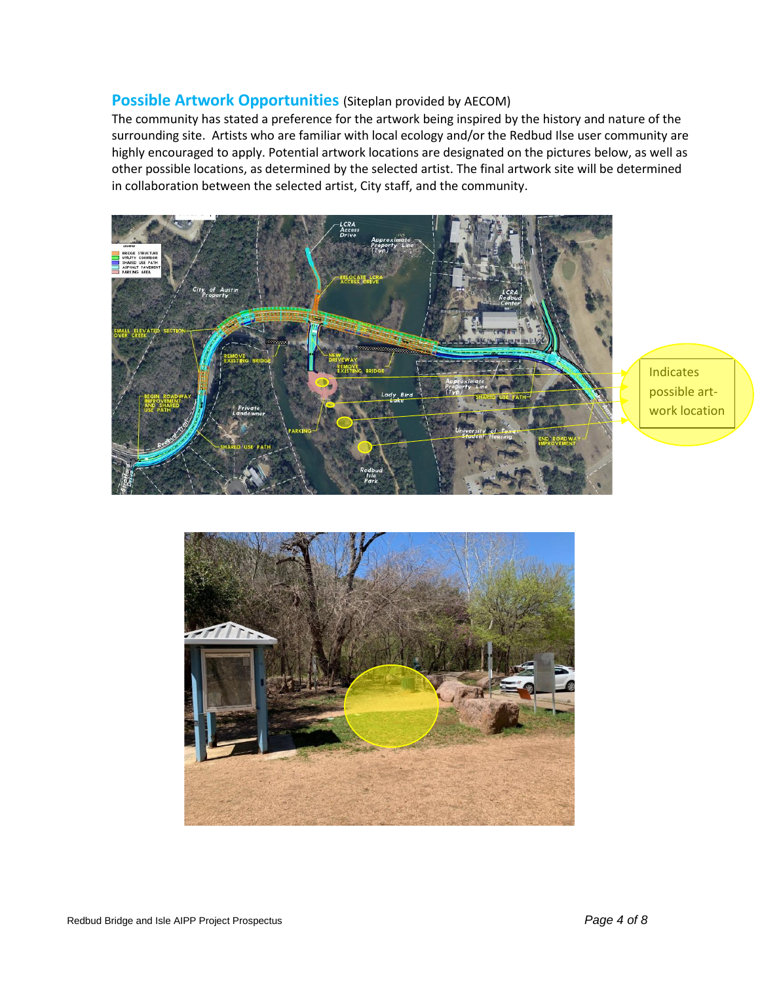#### **Possible Artwork Opportunities** (Siteplan provided by AECOM)

The community has stated a preference for the artwork being inspired by the history and nature of the surrounding site. Artists who are familiar with local ecology and/or the Redbud Ilse user community are highly encouraged to apply. Potential artwork locations are designated on the pictures below, as well as other possible locations, as determined by the selected artist. The final artwork site will be determined in collaboration between the selected artist, City staff, and the community.



**Indicates** possible artwork location

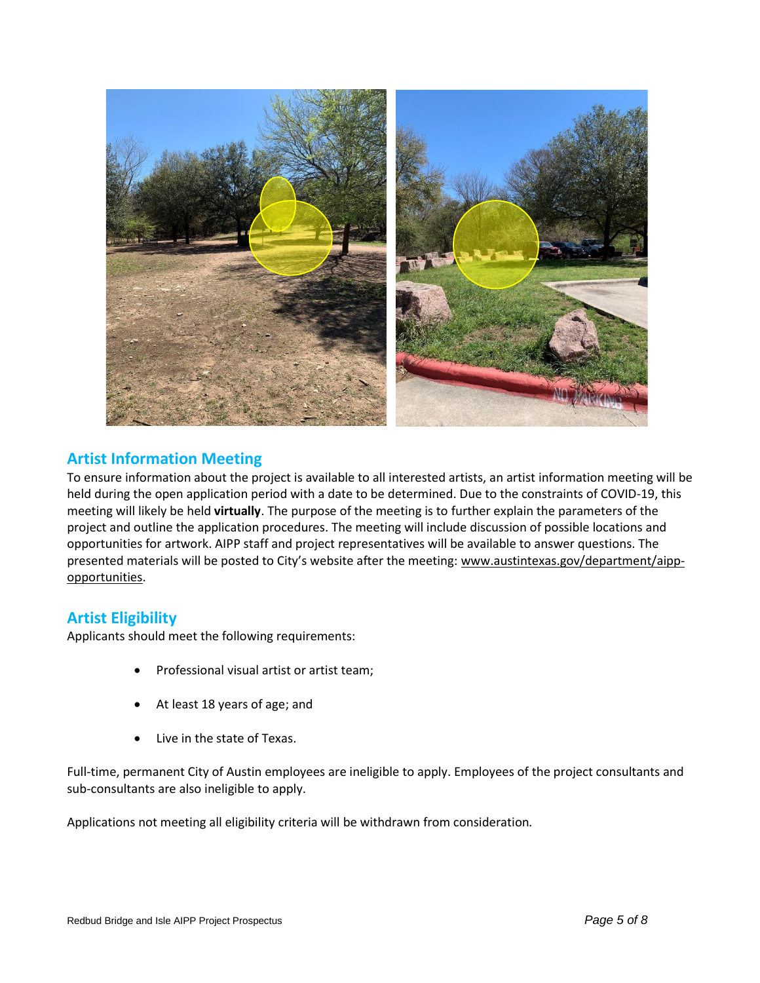

# **Artist Information Meeting**

To ensure information about the project is available to all interested artists, an artist information meeting will be held during the open application period with a date to be determined. Due to the constraints of COVID-19, this meeting will likely be held **virtually**. The purpose of the meeting is to further explain the parameters of the project and outline the application procedures. The meeting will include discussion of possible locations and opportunities for artwork. AIPP staff and project representatives will be available to answer questions. The presented materials will be posted to City's website after the meeting: [www.austintexas.gov/department/aipp](http://www.austintexas.gov/department/aipp-opportunities)[opportunities.](http://www.austintexas.gov/department/aipp-opportunities)

## **Artist Eligibility**

Applicants should meet the following requirements:

- Professional visual artist or artist team;
- At least 18 years of age; and
- Live in the state of Texas.

Full-time, permanent City of Austin employees are ineligible to apply. Employees of the project consultants and sub-consultants are also ineligible to apply.

Applications not meeting all eligibility criteria will be withdrawn from consideration*.*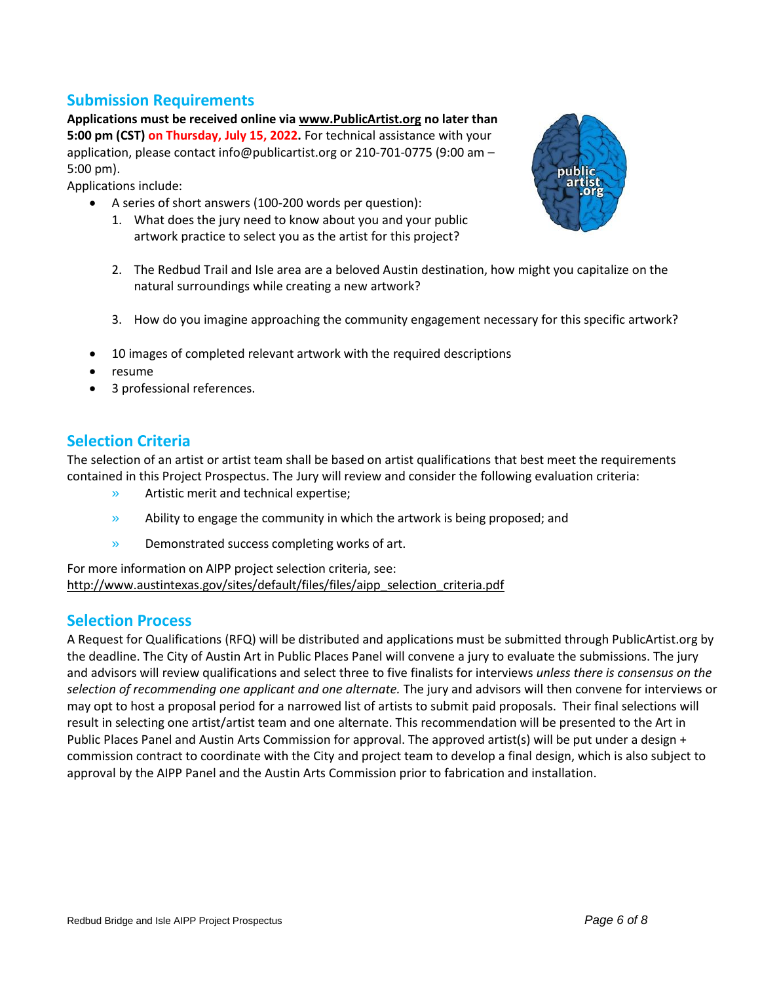## **Submission Requirements**

**Applications must be received online via [www.PublicArtist.org](http://www.publicartist.org/) no later than 5:00 pm (CST) on Thursday, July 15, 2022.** For technical assistance with your application, please contact info@publicartist.org or 210-701-0775 (9:00 am – 5:00 pm).

Applications include:

- A series of short answers (100-200 words per question):
	- 1. What does the jury need to know about you and your public artwork practice to select you as the artist for this project?



- 2. The Redbud Trail and Isle area are a beloved Austin destination, how might you capitalize on the natural surroundings while creating a new artwork?
- 3. How do you imagine approaching the community engagement necessary for this specific artwork?
- 10 images of completed relevant artwork with the required descriptions
- resume
- 3 professional references.

## **Selection Criteria**

The selection of an artist or artist team shall be based on artist qualifications that best meet the requirements contained in this Project Prospectus. The Jury will review and consider the following evaluation criteria:

- » Artistic merit and technical expertise;
- » Ability to engage the community in which the artwork is being proposed; and
- » Demonstrated success completing works of art.

For more information on AIPP project selection criteria, see: [http://www.austintexas.gov/sites/default/files/files/aipp\\_selection\\_criteria.pdf](http://www.austintexas.gov/sites/default/files/files/aipp_selection_criteria.pdf)

#### **Selection Process**

A Request for Qualifications (RFQ) will be distributed and applications must be submitted through PublicArtist.org by the deadline. The City of Austin Art in Public Places Panel will convene a jury to evaluate the submissions. The jury and advisors will review qualifications and select three to five finalists for interviews *unless there is consensus on the selection of recommending one applicant and one alternate.* The jury and advisors will then convene for interviews or may opt to host a proposal period for a narrowed list of artists to submit paid proposals. Their final selections will result in selecting one artist/artist team and one alternate. This recommendation will be presented to the Art in Public Places Panel and Austin Arts Commission for approval. The approved artist(s) will be put under a design + commission contract to coordinate with the City and project team to develop a final design, which is also subject to approval by the AIPP Panel and the Austin Arts Commission prior to fabrication and installation.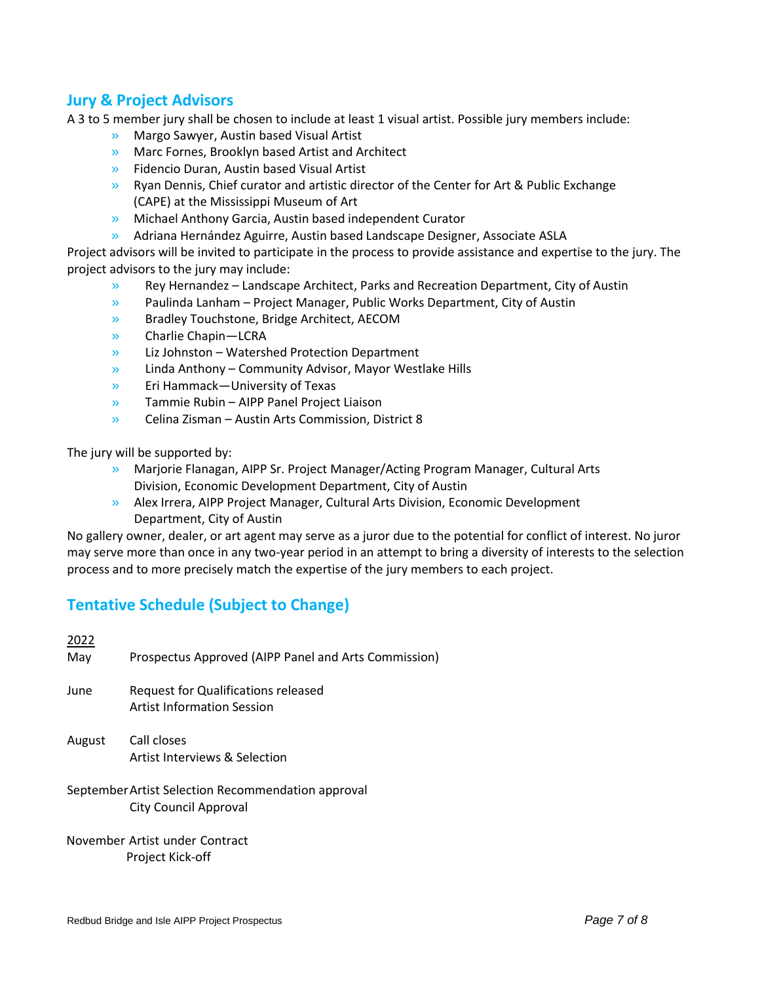# **Jury & Project Advisors**

A 3 to 5 member jury shall be chosen to include at least 1 visual artist. Possible jury members include:

- » Margo Sawyer, Austin based Visual Artist
- » Marc Fornes, Brooklyn based Artist and Architect
- » Fidencio Duran, Austin based Visual Artist
- » Ryan Dennis, Chief curator and artistic director of the Center for Art & Public Exchange (CAPE) at the Mississippi Museum of Art
- » Michael Anthony Garcia, Austin based independent Curator
- » Adriana Hernández Aguirre, Austin based Landscape Designer, Associate ASLA

Project advisors will be invited to participate in the process to provide assistance and expertise to the jury. The project advisors to the jury may include:

- » Rey Hernandez Landscape Architect, Parks and Recreation Department, City of Austin
- » Paulinda Lanham – Project Manager, Public Works Department, City of Austin
- » Bradley Touchstone, Bridge Architect, AECOM
- » Charlie Chapin—LCRA
- » Liz Johnston – Watershed Protection Department
- » Linda Anthony – Community Advisor, Mayor Westlake Hills
- » Eri Hammack—University of Texas
- » Tammie Rubin – AIPP Panel Project Liaison
- » Celina Zisman – Austin Arts Commission, District 8

The jury will be supported by:

- » Marjorie Flanagan, AIPP Sr. Project Manager/Acting Program Manager, Cultural Arts Division, Economic Development Department, City of Austin
- » Alex Irrera, AIPP Project Manager, Cultural Arts Division, Economic Development Department, City of Austin

No gallery owner, dealer, or art agent may serve as a juror due to the potential for conflict of interest. No juror may serve more than once in any two-year period in an attempt to bring a diversity of interests to the selection process and to more precisely match the expertise of the jury members to each project.

# **Tentative Schedule (Subject to Change)**

| 2022                                               |                                                      |  |
|----------------------------------------------------|------------------------------------------------------|--|
| May                                                | Prospectus Approved (AIPP Panel and Arts Commission) |  |
| June                                               | <b>Request for Qualifications released</b>           |  |
|                                                    | Artist Information Session                           |  |
| August                                             | Call closes                                          |  |
|                                                    | Artist Interviews & Selection                        |  |
| September Artist Selection Recommendation approval |                                                      |  |
|                                                    | <b>City Council Approval</b>                         |  |

November Artist under Contract Project Kick-off